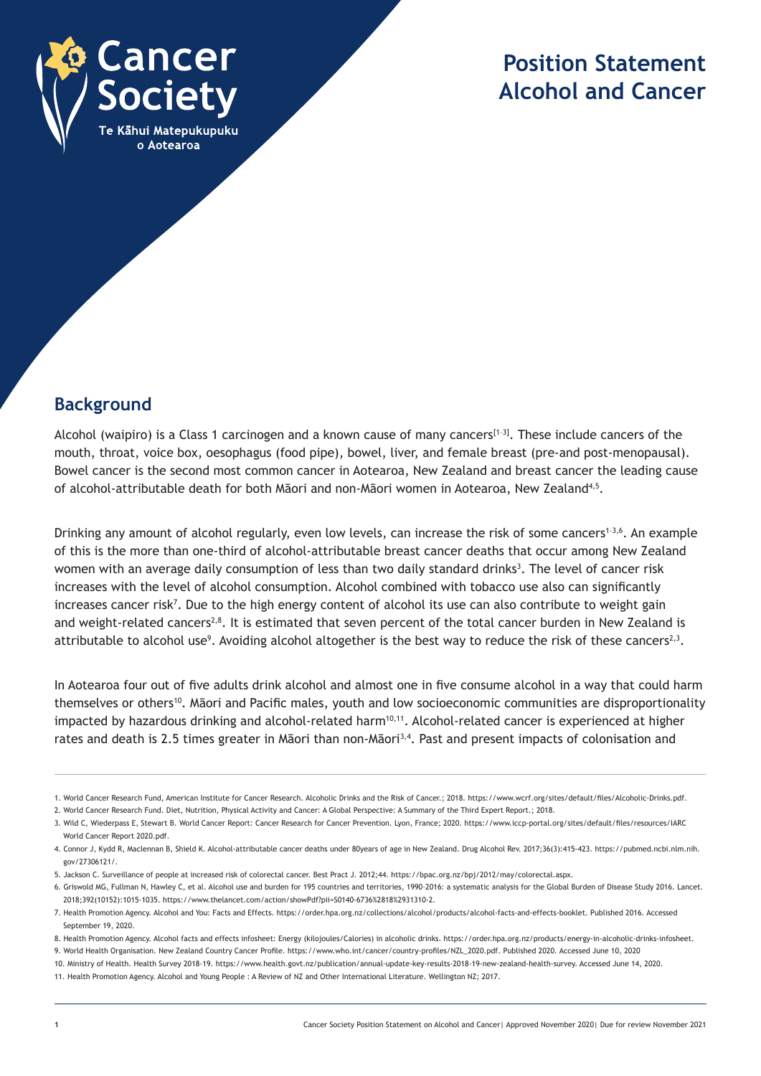

# **Position Statement Alcohol and Cancer**

## **Background**

Alcohol (waipiro) is a Class 1 carcinogen and a known cause of many cancers<sup>[1-3]</sup>. These include cancers of the mouth, throat, voice box, oesophagus (food pipe), bowel, liver, and female breast (pre-and post-menopausal). Bowel cancer is the second most common cancer in Aotearoa, New Zealand and breast cancer the leading cause of alcohol-attributable death for both Māori and non-Māori women in Aotearoa, New Zealand4,5.

Drinking any amount of alcohol regularly, even low levels, can increase the risk of some cancers<sup>1-3,6</sup>. An example of this is the more than one-third of alcohol-attributable breast cancer deaths that occur among New Zealand women with an average daily consumption of less than two daily standard drinks<sup>3</sup>. The level of cancer risk increases with the level of alcohol consumption. Alcohol combined with tobacco use also can significantly increases cancer risk7 . Due to the high energy content of alcohol its use can also contribute to weight gain and weight-related cancers<sup>2,8</sup>. It is estimated that seven percent of the total cancer burden in New Zealand is attributable to alcohol use<sup>9</sup>. Avoiding alcohol altogether is the best way to reduce the risk of these cancers<sup>2,3</sup>.

In Aotearoa four out of five adults drink alcohol and almost one in five consume alcohol in a way that could harm themselves or others10. Māori and Pacific males, youth and low socioeconomic communities are disproportionality impacted by hazardous drinking and alcohol-related harm<sup>10,11</sup>. Alcohol-related cancer is experienced at higher rates and death is 2.5 times greater in Māori than non-Māori<sup>3,4</sup>. Past and present impacts of colonisation and

<sup>1.</sup> World Cancer Research Fund, American Institute for Cancer Research. Alcoholic Drinks and the Risk of Cancer.; 2018. https://www.wcrf.org/sites/default/files/Alcoholic-Drinks.pdf.

<sup>2.</sup> World Cancer Research Fund. Diet, Nutrition, Physical Activity and Cancer: A Global Perspective: A Summary of the Third Expert Report.; 2018.

<sup>3.</sup> Wild C, Wiederpass E, Stewart B. World Cancer Report: Cancer Research for Cancer Prevention. Lyon, France; 2020. https://www.iccp-portal.org/sites/default/files/resources/IARC World Cancer Report 2020.pdf.

<sup>4.</sup> Connor J, Kydd R, Maclennan B, Shield K. Alcohol-attributable cancer deaths under 80years of age in New Zealand. Drug Alcohol Rev. 2017;36(3):415-423. https://pubmed.ncbi.nlm.nih. gov/27306121/.

<sup>5.</sup> Jackson C. Surveillance of people at increased risk of colorectal cancer. Best Pract J. 2012;44. https://bpac.org.nz/bpj/2012/may/colorectal.aspx.

<sup>6.</sup> Griswold MG, Fullman N, Hawley C, et al. Alcohol use and burden for 195 countries and territories, 1990–2016: a systematic analysis for the Global Burden of Disease Study 2016. Lancet. 2018;392(10152):1015-1035. https://www.thelancet.com/action/showPdf?pii=S0140-6736%2818%2931310-2.

<sup>7.</sup> Health Promotion Agency. Alcohol and You: Facts and Effects. https://order.hpa.org.nz/collections/alcohol/products/alcohol-facts-and-effects-booklet. Published 2016. Accessed September 19, 2020.

<sup>8.</sup> Health Promotion Agency. Alcohol facts and effects infosheet: Energy (kilojoules/Calories) in alcoholic drinks. https://order.hpa.org.nz/products/energy-in-alcoholic-drinks-infosheet.

<sup>9.</sup> World Health Organisation. New Zealand Country Cancer Profile. https://www.who.int/cancer/country-profiles/NZL\_2020.pdf. Published 2020. Accessed June 10, 2020

<sup>10.</sup> Ministry of Health. Health Survey 2018-19. https://www.health.govt.nz/publication/annual-update-key-results-2018-19-new-zealand-health-survey. Accessed June 14, 2020.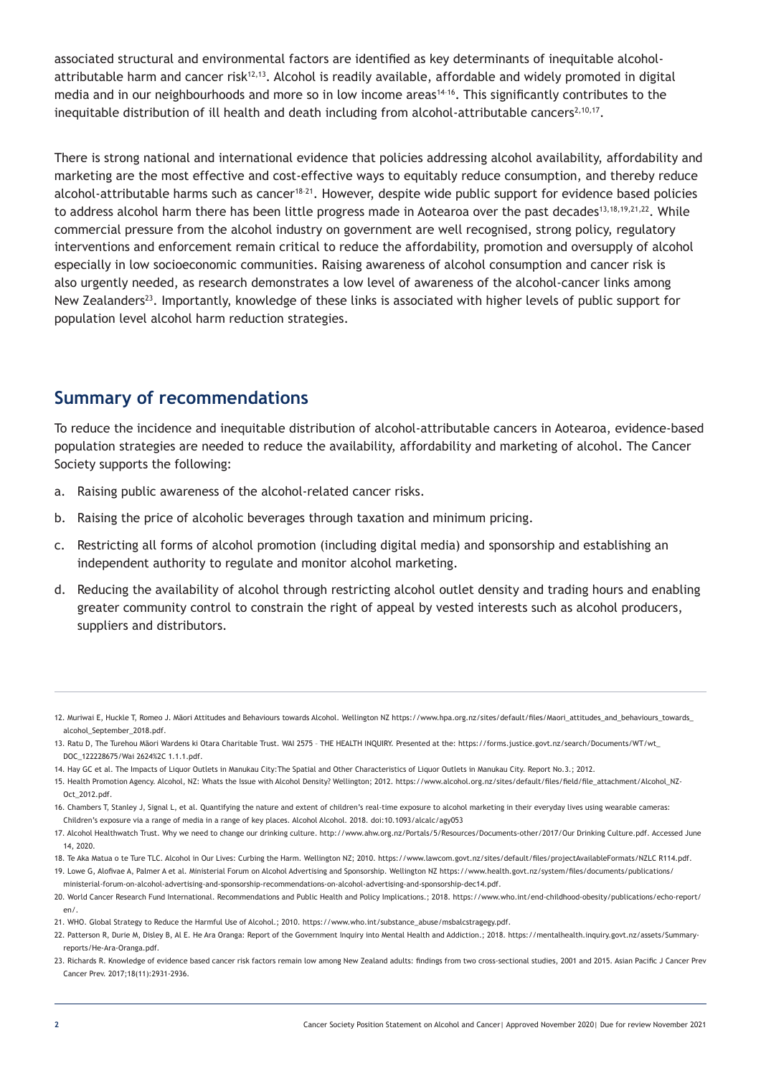associated structural and environmental factors are identified as key determinants of inequitable alcoholattributable harm and cancer risk<sup>12,13</sup>. Alcohol is readily available, affordable and widely promoted in digital media and in our neighbourhoods and more so in low income areas<sup>14-16</sup>. This significantly contributes to the inequitable distribution of ill health and death including from alcohol-attributable cancers<sup>2,10,17</sup>.

There is strong national and international evidence that policies addressing alcohol availability, affordability and marketing are the most effective and cost-effective ways to equitably reduce consumption, and thereby reduce alcohol-attributable harms such as cancer<sup>18-21</sup>. However, despite wide public support for evidence based policies to address alcohol harm there has been little progress made in Aotearoa over the past decades<sup>13,18,19,21,22</sup>. While commercial pressure from the alcohol industry on government are well recognised, strong policy, regulatory interventions and enforcement remain critical to reduce the affordability, promotion and oversupply of alcohol especially in low socioeconomic communities. Raising awareness of alcohol consumption and cancer risk is also urgently needed, as research demonstrates a low level of awareness of the alcohol-cancer links among New Zealanders<sup>23</sup>. Importantly, knowledge of these links is associated with higher levels of public support for population level alcohol harm reduction strategies.

### **Summary of recommendations**

To reduce the incidence and inequitable distribution of alcohol-attributable cancers in Aotearoa, evidence-based population strategies are needed to reduce the availability, affordability and marketing of alcohol. The Cancer Society supports the following:

- a. Raising public awareness of the alcohol-related cancer risks.
- b. Raising the price of alcoholic beverages through taxation and minimum pricing.
- c. Restricting all forms of alcohol promotion (including digital media) and sponsorship and establishing an independent authority to regulate and monitor alcohol marketing.
- d. Reducing the availability of alcohol through restricting alcohol outlet density and trading hours and enabling greater community control to constrain the right of appeal by vested interests such as alcohol producers, suppliers and distributors.

<sup>12.</sup> Muriwai E, Huckle T, Romeo J. Māori Attitudes and Behaviours towards Alcohol. Wellington NZ https://www.hpa.org.nz/sites/default/files/Maori\_attitudes\_and\_behaviours\_towards\_ alcohol\_September\_2018.pdf.

<sup>13.</sup> Ratu D, The Turehou Māori Wardens ki Otara Charitable Trust. WAI 2575 – THE HEALTH INQUIRY. Presented at the: https://forms.justice.govt.nz/search/Documents/WT/wt\_ DOC\_122228675/Wai 2624%2C 1.1.1.pdf.

<sup>14.</sup> Hay GC et al. The Impacts of Liquor Outlets in Manukau City:The Spatial and Other Characteristics of Liquor Outlets in Manukau City. Report No.3.; 2012.

<sup>15.</sup> Health Promotion Agency. Alcohol, NZ: Whats the Issue with Alcohol Density? Wellington; 2012. https://www.alcohol.org.nz/sites/default/files/field/file\_attachment/Alcohol\_NZ- $Oct$  2012.pdf

<sup>16.</sup> Chambers T, Stanley J, Signal L, et al. Quantifying the nature and extent of children's real-time exposure to alcohol marketing in their everyday lives using wearable cameras: Children's exposure via a range of media in a range of key places. Alcohol Alcohol. 2018. doi:10.1093/alcalc/agy053

<sup>17.</sup> Alcohol Healthwatch Trust. Why we need to change our drinking culture. http://www.ahw.org.nz/Portals/5/Resources/Documents-other/2017/Our Drinking Culture.pdf. Accessed June 14, 2020.

<sup>18.</sup> Te Aka Matua o te Ture TLC. Alcohol in Our Lives: Curbing the Harm. Wellington NZ; 2010. https://www.lawcom.govt.nz/sites/default/files/projectAvailableFormats/NZLC R114.pdf.

<sup>19.</sup> Lowe G, Alofivae A, Palmer A et al. Ministerial Forum on Alcohol Advertising and Sponsorship. Wellington NZ https://www.health.govt.nz/system/files/documents/publications/ ministerial-forum-on-alcohol-advertising-and-sponsorship-recommendations-on-alcohol-advertising-and-sponsorship-dec14.pdf.

<sup>20.</sup> World Cancer Research Fund International. Recommendations and Public Health and Policy Implications.; 2018. https://www.who.int/end-childhood-obesity/publications/echo-report/  $en/$ 

<sup>21.</sup> WHO. Global Strategy to Reduce the Harmful Use of Alcohol.; 2010. https://www.who.int/substance\_abuse/msbalcstragegy.pdf.

<sup>22.</sup> Patterson R, Durie M, Disley B, Al E. He Ara Oranga: Report of the Government Inquiry into Mental Health and Addiction.; 2018. https://mentalhealth.inquiry.govt.nz/assets/Summaryreports/He-Ara-Oranga.pdf.

<sup>23.</sup> Richards R. Knowledge of evidence based cancer risk factors remain low among New Zealand adults: findings from two cross-sectional studies, 2001 and 2015. Asian Pacific J Cancer Prev Cancer Prev. 2017;18(11):2931-2936.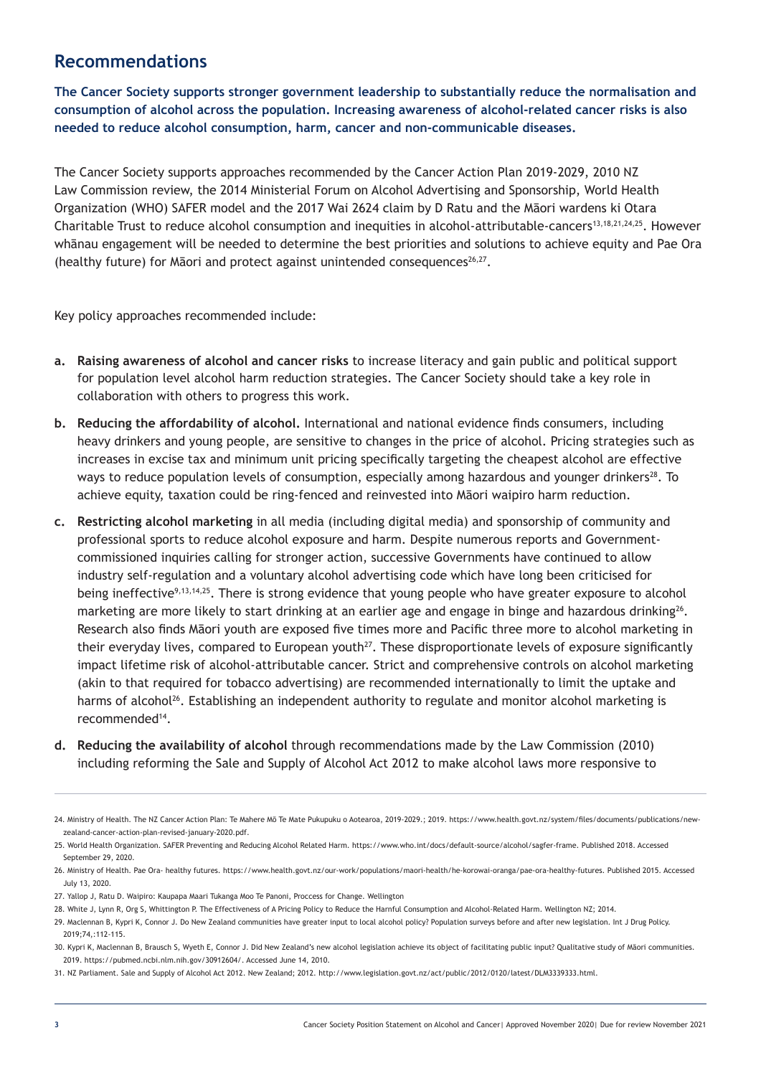#### **Recommendations**

**The Cancer Society supports stronger government leadership to substantially reduce the normalisation and consumption of alcohol across the population. Increasing awareness of alcohol-related cancer risks is also needed to reduce alcohol consumption, harm, cancer and non-communicable diseases.**

The Cancer Society supports approaches recommended by the Cancer Action Plan 2019-2029, 2010 NZ Law Commission review, the 2014 Ministerial Forum on Alcohol Advertising and Sponsorship, World Health Organization (WHO) SAFER model and the 2017 Wai 2624 claim by D Ratu and the Māori wardens ki Otara Charitable Trust to reduce alcohol consumption and inequities in alcohol-attributable-cancers13,18,21,24,25. However whānau engagement will be needed to determine the best priorities and solutions to achieve equity and Pae Ora (healthy future) for Māori and protect against unintended consequences<sup>26,27</sup>.

Key policy approaches recommended include:

- **a. Raising awareness of alcohol and cancer risks** to increase literacy and gain public and political support for population level alcohol harm reduction strategies. The Cancer Society should take a key role in collaboration with others to progress this work.
- **b. Reducing the affordability of alcohol.** International and national evidence finds consumers, including heavy drinkers and young people, are sensitive to changes in the price of alcohol. Pricing strategies such as increases in excise tax and minimum unit pricing specifically targeting the cheapest alcohol are effective ways to reduce population levels of consumption, especially among hazardous and younger drinkers<sup>28</sup>. To achieve equity, taxation could be ring-fenced and reinvested into Māori waipiro harm reduction.
- **c. Restricting alcohol marketing** in all media (including digital media) and sponsorship of community and professional sports to reduce alcohol exposure and harm. Despite numerous reports and Governmentcommissioned inquiries calling for stronger action, successive Governments have continued to allow industry self-regulation and a voluntary alcohol advertising code which have long been criticised for being ineffective<sup>9,13,14,25</sup>. There is strong evidence that young people who have greater exposure to alcohol marketing are more likely to start drinking at an earlier age and engage in binge and hazardous drinking<sup>26</sup>. Research also finds Māori youth are exposed five times more and Pacific three more to alcohol marketing in their everyday lives, compared to European youth<sup>27</sup>. These disproportionate levels of exposure significantly impact lifetime risk of alcohol-attributable cancer. Strict and comprehensive controls on alcohol marketing (akin to that required for tobacco advertising) are recommended internationally to limit the uptake and harms of alcohol<sup>26</sup>. Establishing an independent authority to regulate and monitor alcohol marketing is recommended14.
- **d. Reducing the availability of alcohol** through recommendations made by the Law Commission (2010) including reforming the Sale and Supply of Alcohol Act 2012 to make alcohol laws more responsive to

<sup>24.</sup> Ministry of Health. The NZ Cancer Action Plan: Te Mahere Mō Te Mate Pukupuku o Aotearoa, 2019-2029.; 2019. https://www.health.govt.nz/system/files/documents/publications/newzealand-cancer-action-plan-revised-january-2020.pdf.

<sup>25.</sup> World Health Organization. SAFER Preventing and Reducing Alcohol Related Harm. https://www.who.int/docs/default-source/alcohol/sagfer-frame. Published 2018. Accessed Sentember 29, 2020.

<sup>26.</sup> Ministry of Health. Pae Ora- healthy futures. https://www.health.govt.nz/our-work/populations/maori-health/he-korowai-oranga/pae-ora-healthy-futures. Published 2015. Accessed July 13, 2020.

<sup>27.</sup> Yallop J, Ratu D. Waipiro: Kaupapa Maari Tukanga Moo Te Panoni, Proccess for Change. Wellington

<sup>28.</sup> White J, Lynn R, Org S, Whittington P. The Effectiveness of A Pricing Policy to Reduce the Harnful Consumption and Alcohol-Related Harm. Wellington NZ; 2014.

<sup>29.</sup> Maclennan B, Kypri K, Connor J. Do New Zealand communities have greater input to local alcohol policy? Population surveys before and after new legislation. Int J Drug Policy. 2019;74,:112-115.

<sup>30.</sup> Kypri K, Maclennan B, Brausch S, Wyeth E, Connor J. Did New Zealand's new alcohol legislation achieve its object of facilitating public input? Qualitative study of Māori communities. 2019. https://pubmed.ncbi.nlm.nih.gov/30912604/. Accessed June 14, 2010.

<sup>31.</sup> NZ Parliament. Sale and Supply of Alcohol Act 2012. New Zealand; 2012. http://www.legislation.govt.nz/act/public/2012/0120/latest/DLM3339333.html.